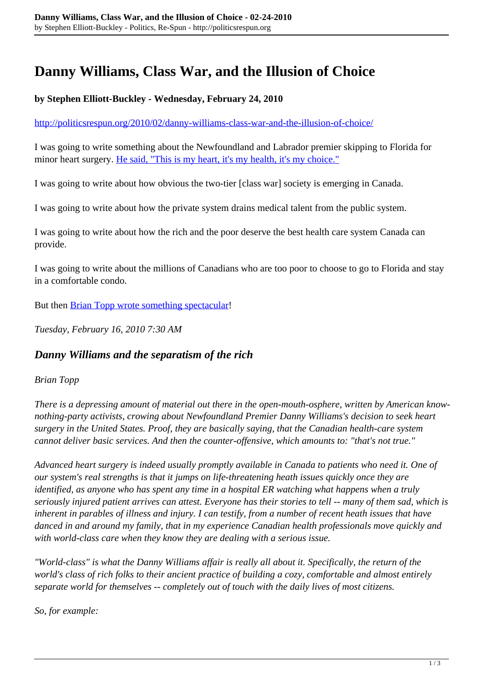## **Danny Williams, Class War, and the Illusion of Choice**

## **by Stephen Elliott-Buckley - Wednesday, February 24, 2010**

<http://politicsrespun.org/2010/02/danny-williams-class-war-and-the-illusion-of-choice/>

I was going to write something about the Newfoundland and Labrador premier skipping to Florida for minor heart surgery. [He said, "This is my heart, it's my health, it's my choice."](http://www.theglobeandmail.com/news/politics/its-my-health-its-my-choice-danny-williams-says/article1477872/)

I was going to write about how obvious the two-tier [class war] society is emerging in Canada.

I was going to write about how the private system drains medical talent from the public system.

I was going to write about how the rich and the poor deserve the best health care system Canada can provide.

I was going to write about the millions of Canadians who are too poor to choose to go to Florida and stay in a comfortable condo.

But then **[Brian Topp wrote something spectacular!](http://www.theglobeandmail.com/blogs/brian-topp/danny-williams-and-the-separatism-of-the-rich/article1469431/)** 

*Tuesday, February 16, 2010 7:30 AM*

## *Danny Williams and the separatism of the rich*

## *Brian Topp*

*There is a depressing amount of material out there in the open-mouth-osphere, written by American knownothing-party activists, crowing about Newfoundland Premier Danny Williams's decision to seek heart surgery in the United States. Proof, they are basically saying, that the Canadian health-care system cannot deliver basic services. And then the counter-offensive, which amounts to: "that's not true."*

*Advanced heart surgery is indeed usually promptly available in Canada to patients who need it. One of our system's real strengths is that it jumps on life-threatening heath issues quickly once they are identified, as anyone who has spent any time in a hospital ER watching what happens when a truly seriously injured patient arrives can attest. Everyone has their stories to tell -- many of them sad, which is inherent in parables of illness and injury. I can testify, from a number of recent heath issues that have danced in and around my family, that in my experience Canadian health professionals move quickly and with world-class care when they know they are dealing with a serious issue.*

*"World-class" is what the Danny Williams affair is really all about it. Specifically, the return of the world's class of rich folks to their ancient practice of building a cozy, comfortable and almost entirely separate world for themselves -- completely out of touch with the daily lives of most citizens.*

*So, for example:*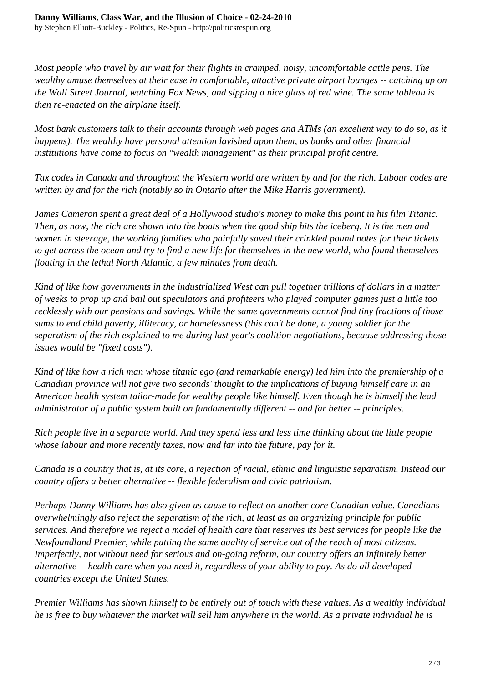*Most people who travel by air wait for their flights in cramped, noisy, uncomfortable cattle pens. The wealthy amuse themselves at their ease in comfortable, attactive private airport lounges -- catching up on the Wall Street Journal, watching Fox News, and sipping a nice glass of red wine. The same tableau is then re-enacted on the airplane itself.*

*Most bank customers talk to their accounts through web pages and ATMs (an excellent way to do so, as it happens). The wealthy have personal attention lavished upon them, as banks and other financial institutions have come to focus on "wealth management" as their principal profit centre.*

*Tax codes in Canada and throughout the Western world are written by and for the rich. Labour codes are written by and for the rich (notably so in Ontario after the Mike Harris government).*

*James Cameron spent a great deal of a Hollywood studio's money to make this point in his film Titanic. Then, as now, the rich are shown into the boats when the good ship hits the iceberg. It is the men and women in steerage, the working families who painfully saved their crinkled pound notes for their tickets to get across the ocean and try to find a new life for themselves in the new world, who found themselves floating in the lethal North Atlantic, a few minutes from death.*

*Kind of like how governments in the industrialized West can pull together trillions of dollars in a matter of weeks to prop up and bail out speculators and profiteers who played computer games just a little too recklessly with our pensions and savings. While the same governments cannot find tiny fractions of those sums to end child poverty, illiteracy, or homelessness (this can't be done, a young soldier for the separatism of the rich explained to me during last year's coalition negotiations, because addressing those issues would be "fixed costs").*

*Kind of like how a rich man whose titanic ego (and remarkable energy) led him into the premiership of a Canadian province will not give two seconds' thought to the implications of buying himself care in an American health system tailor-made for wealthy people like himself. Even though he is himself the lead administrator of a public system built on fundamentally different -- and far better -- principles.*

*Rich people live in a separate world. And they spend less and less time thinking about the little people whose labour and more recently taxes, now and far into the future, pay for it.*

*Canada is a country that is, at its core, a rejection of racial, ethnic and linguistic separatism. Instead our country offers a better alternative -- flexible federalism and civic patriotism.*

*Perhaps Danny Williams has also given us cause to reflect on another core Canadian value. Canadians overwhelmingly also reject the separatism of the rich, at least as an organizing principle for public services. And therefore we reject a model of health care that reserves its best services for people like the Newfoundland Premier, while putting the same quality of service out of the reach of most citizens. Imperfectly, not without need for serious and on-going reform, our country offers an infinitely better alternative -- health care when you need it, regardless of your ability to pay. As do all developed countries except the United States.*

*Premier Williams has shown himself to be entirely out of touch with these values. As a wealthy individual he is free to buy whatever the market will sell him anywhere in the world. As a private individual he is*